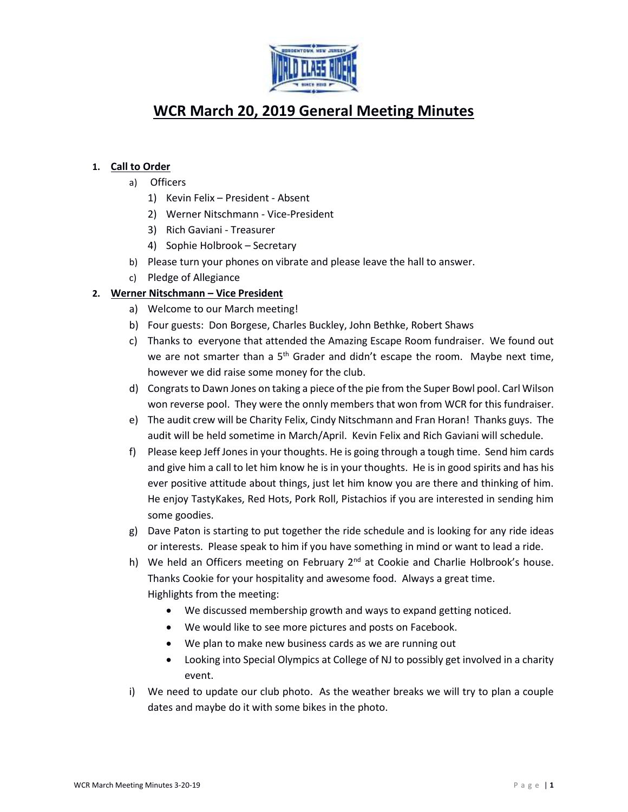

# **WCR March 20, 2019 General Meeting Minutes**

# **1. Call to Order**

- a) Officers
	- 1) Kevin Felix President Absent
	- 2) Werner Nitschmann Vice-President
	- 3) Rich Gaviani Treasurer
	- 4) Sophie Holbrook Secretary
- b) Please turn your phones on vibrate and please leave the hall to answer.
- c) Pledge of Allegiance

# **2. Werner Nitschmann – Vice President**

- a) Welcome to our March meeting!
- b) Four guests: Don Borgese, Charles Buckley, John Bethke, Robert Shaws
- c) Thanks to everyone that attended the Amazing Escape Room fundraiser. We found out we are not smarter than a 5<sup>th</sup> Grader and didn't escape the room. Maybe next time, however we did raise some money for the club.
- d) Congrats to Dawn Jones on taking a piece of the pie from the Super Bowl pool. Carl Wilson won reverse pool. They were the onnly members that won from WCR for this fundraiser.
- e) The audit crew will be Charity Felix, Cindy Nitschmann and Fran Horan! Thanks guys. The audit will be held sometime in March/April. Kevin Felix and Rich Gaviani will schedule.
- f) Please keep Jeff Jones in your thoughts. He is going through a tough time. Send him cards and give him a call to let him know he is in your thoughts. He is in good spirits and has his ever positive attitude about things, just let him know you are there and thinking of him. He enjoy TastyKakes, Red Hots, Pork Roll, Pistachios if you are interested in sending him some goodies.
- g) Dave Paton is starting to put together the ride schedule and is looking for any ride ideas or interests. Please speak to him if you have something in mind or want to lead a ride.
- h) We held an Officers meeting on February 2<sup>nd</sup> at Cookie and Charlie Holbrook's house. Thanks Cookie for your hospitality and awesome food. Always a great time. Highlights from the meeting:
	- We discussed membership growth and ways to expand getting noticed.
	- We would like to see more pictures and posts on Facebook.
	- We plan to make new business cards as we are running out
	- Looking into Special Olympics at College of NJ to possibly get involved in a charity event.
- i) We need to update our club photo. As the weather breaks we will try to plan a couple dates and maybe do it with some bikes in the photo.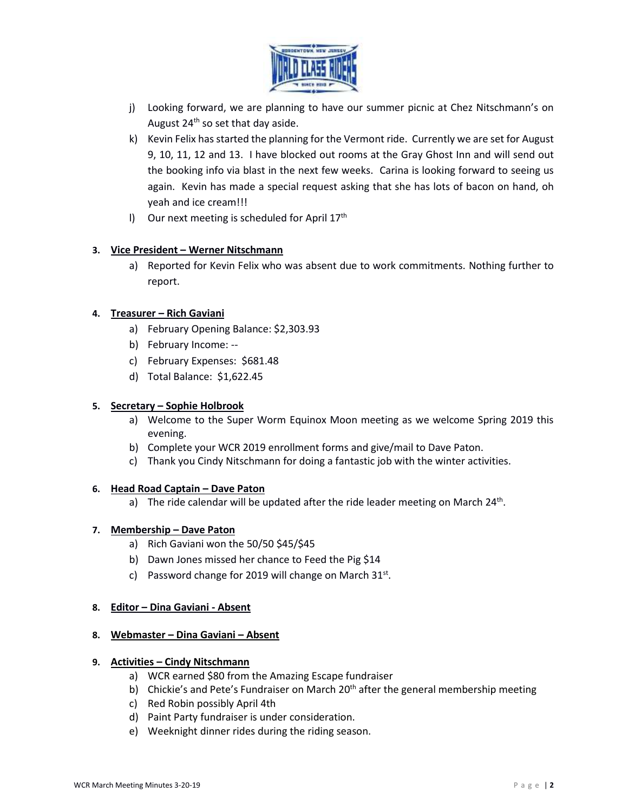

- j) Looking forward, we are planning to have our summer picnic at Chez Nitschmann's on August  $24<sup>th</sup>$  so set that day aside.
- k) Kevin Felix has started the planning for the Vermont ride. Currently we are set for August 9, 10, 11, 12 and 13. I have blocked out rooms at the Gray Ghost Inn and will send out the booking info via blast in the next few weeks. Carina is looking forward to seeing us again. Kevin has made a special request asking that she has lots of bacon on hand, oh yeah and ice cream!!!
- I) Our next meeting is scheduled for April  $17<sup>th</sup>$

# **3. Vice President – Werner Nitschmann**

a) Reported for Kevin Felix who was absent due to work commitments. Nothing further to report.

## **4. Treasurer – Rich Gaviani**

- a) February Opening Balance: \$2,303.93
- b) February Income: --
- c) February Expenses: \$681.48
- d) Total Balance: \$1,622.45

## **5. Secretary – Sophie Holbrook**

- a) Welcome to the Super Worm Equinox Moon meeting as we welcome Spring 2019 this evening.
- b) Complete your WCR 2019 enrollment forms and give/mail to Dave Paton.
- c) Thank you Cindy Nitschmann for doing a fantastic job with the winter activities.

## **6. Head Road Captain – Dave Paton**

a) The ride calendar will be updated after the ride leader meeting on March 24<sup>th</sup>.

## **7. Membership – Dave Paton**

- a) Rich Gaviani won the 50/50 \$45/\$45
- b) Dawn Jones missed her chance to Feed the Pig \$14
- c) Password change for 2019 will change on March  $31^{st}$ .

#### **8. Editor – Dina Gaviani - Absent**

#### **8. Webmaster – Dina Gaviani – Absent**

#### **9. Activities – Cindy Nitschmann**

- a) WCR earned \$80 from the Amazing Escape fundraiser
- b) Chickie's and Pete's Fundraiser on March 20<sup>th</sup> after the general membership meeting
- c) Red Robin possibly April 4th
- d) Paint Party fundraiser is under consideration.
- e) Weeknight dinner rides during the riding season.